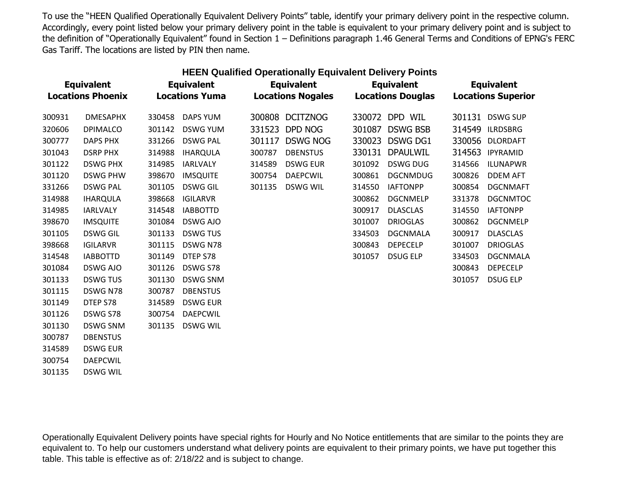| <b>HEEN Qualified Operationally Equivalent Delivery Points</b> |                          |                       |                 |        |                          |        |                          |        |                           |  |
|----------------------------------------------------------------|--------------------------|-----------------------|-----------------|--------|--------------------------|--------|--------------------------|--------|---------------------------|--|
| <b>Equivalent</b>                                              |                          | <b>Equivalent</b>     |                 |        | <b>Equivalent</b>        |        | <b>Equivalent</b>        |        | <b>Equivalent</b>         |  |
|                                                                | <b>Locations Phoenix</b> | <b>Locations Yuma</b> |                 |        | <b>Locations Nogales</b> |        | <b>Locations Douglas</b> |        | <b>Locations Superior</b> |  |
| 300931                                                         | <b>DMESAPHX</b>          | 330458                | <b>DAPS YUM</b> | 300808 | <b>DCITZNOG</b>          | 330072 | DPD WIL                  | 301131 | <b>DSWG SUP</b>           |  |
| 320606                                                         | <b>DPIMALCO</b>          | 301142                | <b>DSWG YUM</b> | 331523 | DPD NOG                  | 301087 | <b>DSWG BSB</b>          | 314549 | <b>ILRDSBRG</b>           |  |
| 300777                                                         | DAPS PHX                 | 331266                | <b>DSWG PAL</b> | 301117 | <b>DSWG NOG</b>          | 330023 | <b>DSWG DG1</b>          | 330056 | <b>DLORDAFT</b>           |  |
| 301043                                                         | <b>DSRP PHX</b>          | 314988                | <b>IHARQULA</b> | 300787 | <b>DBENSTUS</b>          | 330131 | <b>DPAULWIL</b>          | 314563 | <b>IPYRAMID</b>           |  |
| 301122                                                         | <b>DSWG PHX</b>          | 314985                | <b>IARLVALY</b> | 314589 | <b>DSWG EUR</b>          | 301092 | <b>DSWG DUG</b>          | 314566 | <b>ILUNAPWR</b>           |  |
| 301120                                                         | <b>DSWG PHW</b>          | 398670                | <b>IMSQUITE</b> | 300754 | <b>DAEPCWIL</b>          | 300861 | <b>DGCNMDUG</b>          | 300826 | <b>DDEM AFT</b>           |  |
| 331266                                                         | <b>DSWG PAL</b>          | 301105                | <b>DSWG GIL</b> | 301135 | <b>DSWG WIL</b>          | 314550 | <b>IAFTONPP</b>          | 300854 | <b>DGCNMAFT</b>           |  |
| 314988                                                         | <b>IHARQULA</b>          | 398668                | <b>IGILARVR</b> |        |                          | 300862 | <b>DGCNMELP</b>          | 331378 | <b>DGCNMTOC</b>           |  |
| 314985                                                         | <b>IARLVALY</b>          | 314548                | <b>IABBOTTD</b> |        |                          | 300917 | <b>DLASCLAS</b>          | 314550 | <b>IAFTONPP</b>           |  |
| 398670                                                         | <b>IMSQUITE</b>          | 301084                | DSWG AJO        |        |                          | 301007 | <b>DRIOGLAS</b>          | 300862 | <b>DGCNMELP</b>           |  |
| 301105                                                         | <b>DSWG GIL</b>          | 301133                | <b>DSWG TUS</b> |        |                          | 334503 | <b>DGCNMALA</b>          | 300917 | <b>DLASCLAS</b>           |  |
| 398668                                                         | <b>IGILARVR</b>          | 301115                | DSWG N78        |        |                          | 300843 | <b>DEPECELP</b>          | 301007 | <b>DRIOGLAS</b>           |  |
| 314548                                                         | <b>IABBOTTD</b>          | 301149                | DTEP S78        |        |                          | 301057 | <b>DSUG ELP</b>          | 334503 | <b>DGCNMALA</b>           |  |
| 301084                                                         | DSWG AJO                 | 301126                | DSWG S78        |        |                          |        |                          | 300843 | <b>DEPECELP</b>           |  |
| 301133                                                         | <b>DSWG TUS</b>          | 301130                | <b>DSWG SNM</b> |        |                          |        |                          | 301057 | <b>DSUG ELP</b>           |  |
| 301115                                                         | DSWG N78                 | 300787                | <b>DBENSTUS</b> |        |                          |        |                          |        |                           |  |
| 301149                                                         | DTEP S78                 | 314589                | <b>DSWG EUR</b> |        |                          |        |                          |        |                           |  |
| 301126                                                         | DSWG S78                 | 300754                | <b>DAEPCWIL</b> |        |                          |        |                          |        |                           |  |
| 301130                                                         | <b>DSWG SNM</b>          | 301135                | <b>DSWG WIL</b> |        |                          |        |                          |        |                           |  |
| 300787                                                         | <b>DBENSTUS</b>          |                       |                 |        |                          |        |                          |        |                           |  |

314589 DSWG EUR 300754 DAEPCWIL 301135 DSWG WIL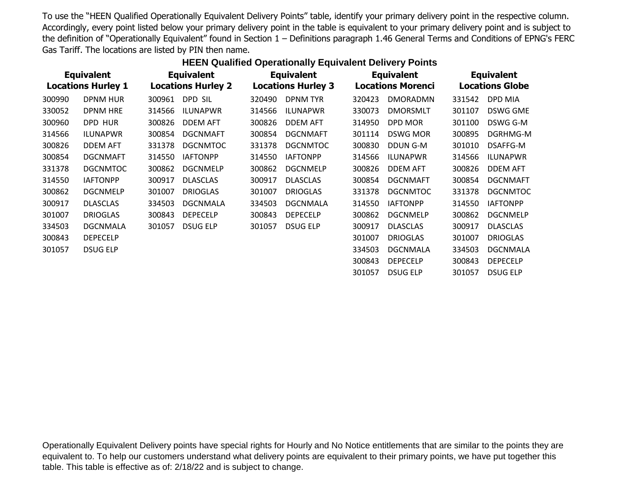| <b>Equivalent</b> |                           | <b>Equivalent</b> |                           | <b>Equivalent</b> |                           |        | <b>Equivalent</b>        | <b>Equivalent</b>      |                 |
|-------------------|---------------------------|-------------------|---------------------------|-------------------|---------------------------|--------|--------------------------|------------------------|-----------------|
|                   | <b>Locations Hurley 1</b> |                   | <b>Locations Hurley 2</b> |                   | <b>Locations Hurley 3</b> |        | <b>Locations Morenci</b> | <b>Locations Globe</b> |                 |
| 300990            | <b>DPNM HUR</b>           | 300961            | DPD SIL                   | 320490            | <b>DPNM TYR</b>           | 320423 | <b>DMORADMN</b>          | 331542                 | DPD MIA         |
| 330052            | <b>DPNM HRE</b>           | 314566            | <b>ILUNAPWR</b>           | 314566            | <b>ILUNAPWR</b>           | 330073 | <b>DMORSMLT</b>          | 301107                 | DSWG GME        |
| 300960            | DPD HUR                   | 300826            | <b>DDEM AFT</b>           | 300826            | <b>DDEM AFT</b>           | 314950 | DPD MOR                  | 301100                 | DSWG G-M        |
| 314566            | <b>ILUNAPWR</b>           | 300854            | <b>DGCNMAFT</b>           | 300854            | <b>DGCNMAFT</b>           | 301114 | <b>DSWG MOR</b>          | 300895                 | DGRHMG-M        |
| 300826            | <b>DDEM AFT</b>           | 331378            | <b>DGCNMTOC</b>           | 331378            | <b>DGCNMTOC</b>           | 300830 | DDUN G-M                 | 301010                 | DSAFFG-M        |
| 300854            | <b>DGCNMAFT</b>           | 314550            | <b>IAFTONPP</b>           | 314550            | <b>IAFTONPP</b>           | 314566 | <b>ILUNAPWR</b>          | 314566                 | <b>ILUNAPWR</b> |
| 331378            | <b>DGCNMTOC</b>           | 300862            | <b>DGCNMELP</b>           | 300862            | <b>DGCNMELP</b>           | 300826 | <b>DDEM AFT</b>          | 300826                 | <b>DDEM AFT</b> |
| 314550            | <b>IAFTONPP</b>           | 300917            | <b>DLASCLAS</b>           | 300917            | <b>DLASCLAS</b>           | 300854 | <b>DGCNMAFT</b>          | 300854                 | <b>DGCNMAFT</b> |
| 300862            | <b>DGCNMELP</b>           | 301007            | <b>DRIOGLAS</b>           | 301007            | <b>DRIOGLAS</b>           | 331378 | <b>DGCNMTOC</b>          | 331378                 | <b>DGCNMTOC</b> |
| 300917            | <b>DLASCLAS</b>           | 334503            | <b>DGCNMALA</b>           | 334503            | <b>DGCNMALA</b>           | 314550 | <b>IAFTONPP</b>          | 314550                 | <b>IAFTONPP</b> |
| 301007            | <b>DRIOGLAS</b>           | 300843            | <b>DEPECELP</b>           | 300843            | <b>DEPECELP</b>           | 300862 | <b>DGCNMELP</b>          | 300862                 | <b>DGCNMELP</b> |
| 334503            | <b>DGCNMALA</b>           | 301057            | <b>DSUG ELP</b>           | 301057            | <b>DSUG ELP</b>           | 300917 | <b>DLASCLAS</b>          | 300917                 | <b>DLASCLAS</b> |
| 300843            | <b>DEPECELP</b>           |                   |                           |                   |                           | 301007 | <b>DRIOGLAS</b>          | 301007                 | <b>DRIOGLAS</b> |
| 301057            | <b>DSUG ELP</b>           |                   |                           |                   |                           | 334503 | DGCNMALA                 | 334503                 | DGCNMALA        |
|                   |                           |                   |                           |                   |                           | 300843 | <b>DEPECELP</b>          | 300843                 | <b>DEPECELP</b> |
|                   |                           |                   |                           |                   |                           | 301057 | <b>DSUG ELP</b>          | 301057                 | <b>DSUG ELP</b> |
|                   |                           |                   |                           |                   |                           |        |                          |                        |                 |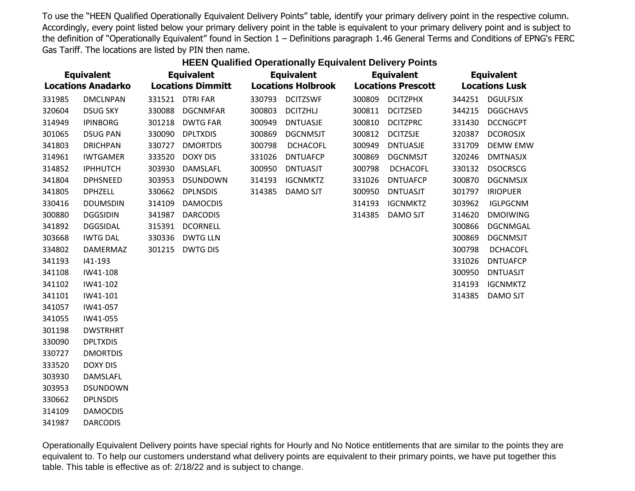| <b>Equivalent</b><br><b>Locations Anadarko</b> |                 | <b>Equivalent</b><br><b>Locations Dimmitt</b> |                 | <b>Equivalent</b><br><b>Locations Holbrook</b> |                 |        | <b>Equivalent</b><br><b>Locations Prescott</b> | <b>Equivalent</b><br><b>Locations Lusk</b> |                 |
|------------------------------------------------|-----------------|-----------------------------------------------|-----------------|------------------------------------------------|-----------------|--------|------------------------------------------------|--------------------------------------------|-----------------|
| 331985                                         | <b>DMCLNPAN</b> |                                               | 331521 DTRI FAR | 330793                                         | <b>DCITZSWF</b> | 300809 | <b>DCITZPHX</b>                                | 344251                                     | <b>DGULFSJX</b> |
| 320604                                         | <b>DSUG SKY</b> | 330088                                        | <b>DGCNMFAR</b> | 300803                                         | <b>DCITZHLJ</b> | 300811 | <b>DCITZSED</b>                                | 344215                                     | <b>DGGCHAVS</b> |
| 314949                                         | <b>IPINBORG</b> | 301218                                        | <b>DWTG FAR</b> | 300949                                         | <b>DNTUASJE</b> | 300810 | <b>DCITZPRC</b>                                | 331430                                     | <b>DCCNGCPT</b> |
| 301065                                         | <b>DSUG PAN</b> | 330090                                        | <b>DPLTXDIS</b> | 300869                                         | <b>DGCNMSJT</b> | 300812 | <b>DCITZSJE</b>                                | 320387                                     | <b>DCOROSJX</b> |
| 341803                                         | <b>DRICHPAN</b> | 330727                                        | <b>DMORTDIS</b> | 300798                                         | <b>DCHACOFL</b> | 300949 | <b>DNTUASJE</b>                                | 331709                                     | <b>DEMW EMW</b> |
| 314961                                         | <b>IWTGAMER</b> | 333520                                        | <b>DOXY DIS</b> | 331026                                         | <b>DNTUAFCP</b> | 300869 | <b>DGCNMSJT</b>                                | 320246                                     | <b>DMTNASJX</b> |
| 314852                                         | <b>IPHHUTCH</b> | 303930                                        | DAMSLAFL        | 300950                                         | <b>DNTUASJT</b> | 300798 | <b>DCHACOFL</b>                                | 330132                                     | <b>DSOCRSCG</b> |
| 341804                                         | <b>DPHSNEED</b> | 303953                                        | <b>DSUNDOWN</b> | 314193                                         | <b>IGCNMKTZ</b> | 331026 | <b>DNTUAFCP</b>                                | 300870                                     | <b>DGCNMSJX</b> |
| 341805                                         | <b>DPHZELL</b>  | 330662                                        | <b>DPLNSDIS</b> | 314385                                         | DAMO SJT        | 300950 | <b>DNTUASJT</b>                                | 301797                                     | <b>IRIOPUER</b> |
| 330416                                         | <b>DDUMSDIN</b> | 314109                                        | <b>DAMOCDIS</b> |                                                |                 | 314193 | <b>IGCNMKTZ</b>                                | 303962                                     | <b>IGLPGCNM</b> |
| 300880                                         | <b>DGGSIDIN</b> | 341987                                        | <b>DARCODIS</b> |                                                |                 | 314385 | DAMO SJT                                       | 314620                                     | <b>DMOIWING</b> |
| 341892                                         | <b>DGGSIDAL</b> | 315391                                        | <b>DCORNELL</b> |                                                |                 |        |                                                | 300866                                     | <b>DGCNMGAL</b> |
| 303668                                         | <b>IWTG DAL</b> | 330336                                        | <b>DWTG LLN</b> |                                                |                 |        |                                                | 300869                                     | <b>DGCNMSJT</b> |
| 334802                                         | DAMERMAZ        | 301215                                        | <b>DWTG DIS</b> |                                                |                 |        |                                                | 300798                                     | <b>DCHACOFL</b> |
| 341193                                         | 141-193         |                                               |                 |                                                |                 |        |                                                | 331026                                     | <b>DNTUAFCP</b> |
| 341108                                         | IW41-108        |                                               |                 |                                                |                 |        |                                                | 300950                                     | <b>DNTUASJT</b> |
| 341102                                         | IW41-102        |                                               |                 |                                                |                 |        |                                                | 314193                                     | <b>IGCNMKTZ</b> |
| 341101                                         | IW41-101        |                                               |                 |                                                |                 |        |                                                | 314385                                     | DAMO SJT        |
| 341057                                         | IW41-057        |                                               |                 |                                                |                 |        |                                                |                                            |                 |
| 341055                                         | IW41-055        |                                               |                 |                                                |                 |        |                                                |                                            |                 |
| 301198                                         | <b>DWSTRHRT</b> |                                               |                 |                                                |                 |        |                                                |                                            |                 |
| 330090                                         | <b>DPLTXDIS</b> |                                               |                 |                                                |                 |        |                                                |                                            |                 |
| 330727                                         | <b>DMORTDIS</b> |                                               |                 |                                                |                 |        |                                                |                                            |                 |
| 333520                                         | <b>DOXY DIS</b> |                                               |                 |                                                |                 |        |                                                |                                            |                 |
| 303930                                         | DAMSLAFL        |                                               |                 |                                                |                 |        |                                                |                                            |                 |
| 303953                                         | <b>DSUNDOWN</b> |                                               |                 |                                                |                 |        |                                                |                                            |                 |
| 330662                                         | <b>DPLNSDIS</b> |                                               |                 |                                                |                 |        |                                                |                                            |                 |
| 314109                                         | <b>DAMOCDIS</b> |                                               |                 |                                                |                 |        |                                                |                                            |                 |

DARCODIS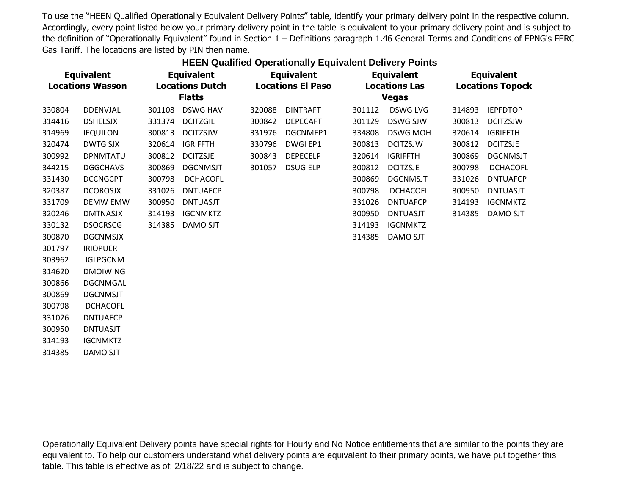## **HEEN Qualified Operationally Equivalent Delivery Points**

| <b>Equivalent</b><br><b>Locations Wasson</b> |                 | <b>Equivalent</b><br><b>Locations Dutch</b> |                 | <b>Equivalent</b><br><b>Locations El Paso</b> |                 |              | <b>Equivalent</b><br><b>Locations Las</b> |        | <b>Equivalent</b><br><b>Locations Topock</b> |  |
|----------------------------------------------|-----------------|---------------------------------------------|-----------------|-----------------------------------------------|-----------------|--------------|-------------------------------------------|--------|----------------------------------------------|--|
|                                              |                 | <b>Flatts</b>                               |                 |                                               |                 | <b>Vegas</b> |                                           |        |                                              |  |
| 330804                                       | <b>DDENVJAL</b> | 301108                                      | <b>DSWG HAV</b> | 320088                                        | <b>DINTRAFT</b> | 301112       | <b>DSWG LVG</b>                           | 314893 | <b>IEPFDTOP</b>                              |  |
| 314416                                       | <b>DSHELSJX</b> | 331374                                      | <b>DCITZGIL</b> | 300842                                        | <b>DEPECAFT</b> | 301129       | <b>DSWG SJW</b>                           | 300813 | <b>DCITZSJW</b>                              |  |
| 314969                                       | <b>IEQUILON</b> | 300813                                      | <b>DCITZSJW</b> | 331976                                        | DGCNMEP1        | 334808       | <b>DSWG MOH</b>                           | 320614 | <b>IGRIFFTH</b>                              |  |
| 320474                                       | <b>DWTG SJX</b> | 320614                                      | <b>IGRIFFTH</b> | 330796                                        | DWGI EP1        | 300813       | <b>DCITZSJW</b>                           | 300812 | <b>DCITZSJE</b>                              |  |
| 300992                                       | <b>DPNMTATU</b> | 300812                                      | <b>DCITZSJE</b> | 300843                                        | <b>DEPECELP</b> | 320614       | <b>IGRIFFTH</b>                           | 300869 | <b>DGCNMSJT</b>                              |  |
| 344215                                       | <b>DGGCHAVS</b> | 300869                                      | <b>DGCNMSJT</b> | 301057                                        | <b>DSUG ELP</b> | 300812       | <b>DCITZSJE</b>                           | 300798 | <b>DCHACOFL</b>                              |  |
| 331430                                       | <b>DCCNGCPT</b> | 300798                                      | <b>DCHACOFL</b> |                                               |                 | 300869       | <b>DGCNMSJT</b>                           | 331026 | <b>DNTUAFCP</b>                              |  |
| 320387                                       | <b>DCOROSJX</b> | 331026                                      | <b>DNTUAFCP</b> |                                               |                 | 300798       | <b>DCHACOFL</b>                           | 300950 | <b>DNTUASJT</b>                              |  |
| 331709                                       | <b>DEMW EMW</b> | 300950                                      | <b>DNTUASJT</b> |                                               |                 | 331026       | <b>DNTUAFCP</b>                           | 314193 | <b>IGCNMKTZ</b>                              |  |
| 320246                                       | <b>DMTNASJX</b> | 314193                                      | <b>IGCNMKTZ</b> |                                               |                 | 300950       | <b>DNTUASJT</b>                           | 314385 | DAMO SJT                                     |  |
| 330132                                       | <b>DSOCRSCG</b> | 314385                                      | <b>DAMO SJT</b> |                                               |                 | 314193       | <b>IGCNMKTZ</b>                           |        |                                              |  |
| 300870                                       | <b>DGCNMSJX</b> |                                             |                 |                                               |                 | 314385       | <b>DAMO SJT</b>                           |        |                                              |  |
| 301797                                       | <b>IRIOPUER</b> |                                             |                 |                                               |                 |              |                                           |        |                                              |  |
| 303962                                       | <b>IGLPGCNM</b> |                                             |                 |                                               |                 |              |                                           |        |                                              |  |
| 314620                                       | <b>DMOIWING</b> |                                             |                 |                                               |                 |              |                                           |        |                                              |  |
| 300866                                       | <b>DGCNMGAL</b> |                                             |                 |                                               |                 |              |                                           |        |                                              |  |
| 300869                                       | <b>DGCNMSJT</b> |                                             |                 |                                               |                 |              |                                           |        |                                              |  |
| 300798                                       | <b>DCHACOFL</b> |                                             |                 |                                               |                 |              |                                           |        |                                              |  |
| 331026                                       | <b>DNTUAFCP</b> |                                             |                 |                                               |                 |              |                                           |        |                                              |  |
| 300950                                       | <b>DNTUASJT</b> |                                             |                 |                                               |                 |              |                                           |        |                                              |  |
| 314193                                       | <b>IGCNMKTZ</b> |                                             |                 |                                               |                 |              |                                           |        |                                              |  |

314385 DAMO SJT